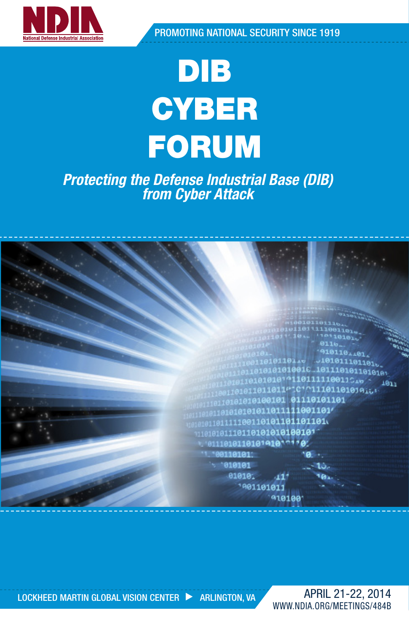

PROMOTING NATIONAL SECURITY SINCE 1919

# DIB **CYBER** FORUM

### *Protecting the Defense Industrial Base (DIB) from Cyber Attack*



LOCKHEED MARTIN GLOBAL VISION CENTER **EXAMPLE ARLINGTON, VA** 

APRIL 21-22, 2014 WWW.NDIA.ORG/MEETINGS/484B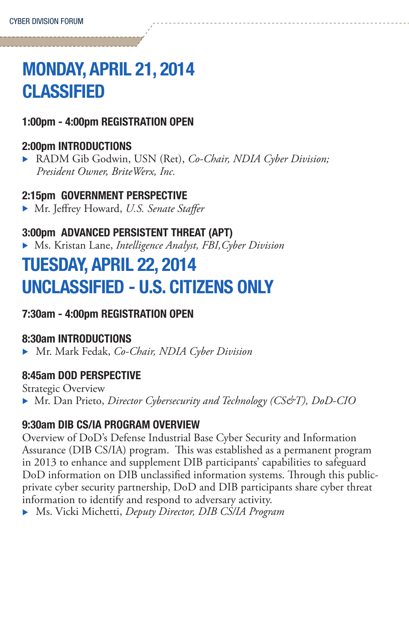## MONDAY, APRIL 21, 2014 **CLASSIFIED**

#### 1:00pm - 4:00pm REGISTRATION OPEN

#### 2:00pm INTRODUCTIONS

▶ RADM Gib Godwin, USN (Ret), *Co-Chair, NDIA Cyber Division; President Owner, BriteWerx, Inc.*

#### 2:15pm GOVERNMENT PERSPECTIVE

▶ Mr. Jeffrey Howard, *U.S. Senate Staffer* 

#### 3:00pm ADVANCED PERSISTENT THREAT (APT)

<sup>u</sup> Ms. Kristan Lane, *Intelligence Analyst, FBI,Cyber Division*

## TUESDAY, APRIL 22, 2014 UNCLASSIFIED - U.S. CITIZENS ONLY

#### 7:30am - 4:00pm REGISTRATION OPEN

#### 8:30am INTRODUCTIONS

▶ Mr. Mark Fedak, *Co-Chair, NDIA Cyber Division* 

#### 8:45am DOD PERSPECTIVE

Strategic Overview ▶ Mr. Dan Prieto, *Director Cybersecurity and Technology (CS&T)*, *DoD-CIO* 

#### 9:30am DIB CS/IA PROGRAM OVERVIEW

Overview of DoD's Defense Industrial Base Cyber Security and Information Assurance (DIB CS/IA) program. This was established as a permanent program in 2013 to enhance and supplement DIB participants' capabilities to safeguard DoD information on DIB unclassified information systems. Through this publicprivate cyber security partnership, DoD and DIB participants share cyber threat information to identify and respond to adversary activity. **Ms. Vicki Michetti, Deputy Director, DIB CS/IA Program**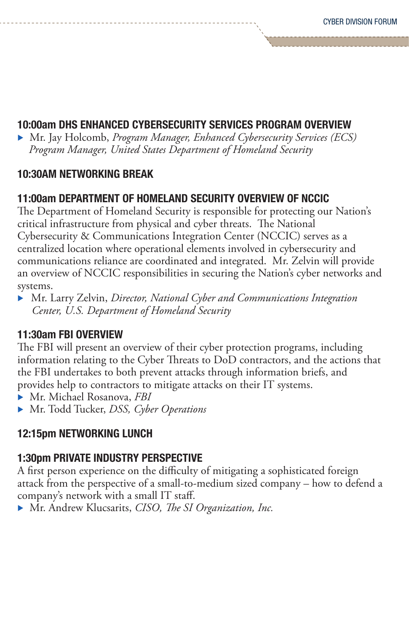#### 10:00am DHS ENHANCED CYBERSECURITY SERVICES PROGRAM OVERVIEW

▶ Mr. Jay Holcomb, *Program Manager, Enhanced Cybersecurity Services (ECS) Program Manager, United States Department of Homeland Security*

#### 10:30AM NETWORKING BREAK

#### 11:00am DEPARTMENT OF HOMELAND SECURITY OVERVIEW OF NCCIC

The Department of Homeland Security is responsible for protecting our Nation's critical infrastructure from physical and cyber threats. The National Cybersecurity & Communications Integration Center (NCCIC) serves as a centralized location where operational elements involved in cybersecurity and communications reliance are coordinated and integrated. Mr. Zelvin will provide an overview of NCCIC responsibilities in securing the Nation's cyber networks and systems.

▶ Mr. Larry Zelvin, *Director, National Cyber and Communications Integration Center, U.S. Department of Homeland Security*

#### 11:30am FBI OVERVIEW

The FBI will present an overview of their cyber protection programs, including information relating to the Cyber Threats to DoD contractors, and the actions that the FBI undertakes to both prevent attacks through information briefs, and provides help to contractors to mitigate attacks on their IT systems.

- ▶ Mr. Michael Rosanova, *FBI*
- ▶ Mr. Todd Tucker, *DSS, Cyber Operations*

#### 12:15pm NETWORKING LUNCH

#### 1:30pm PRIVATE INDUSTRY PERSPECTIVE

A first person experience on the difficulty of mitigating a sophisticated foreign attack from the perspective of a small-to-medium sized company – how to defend a company's network with a small IT staff.

**Mr. Andrew Klucsarits, CISO, The SI Organization, Inc.**